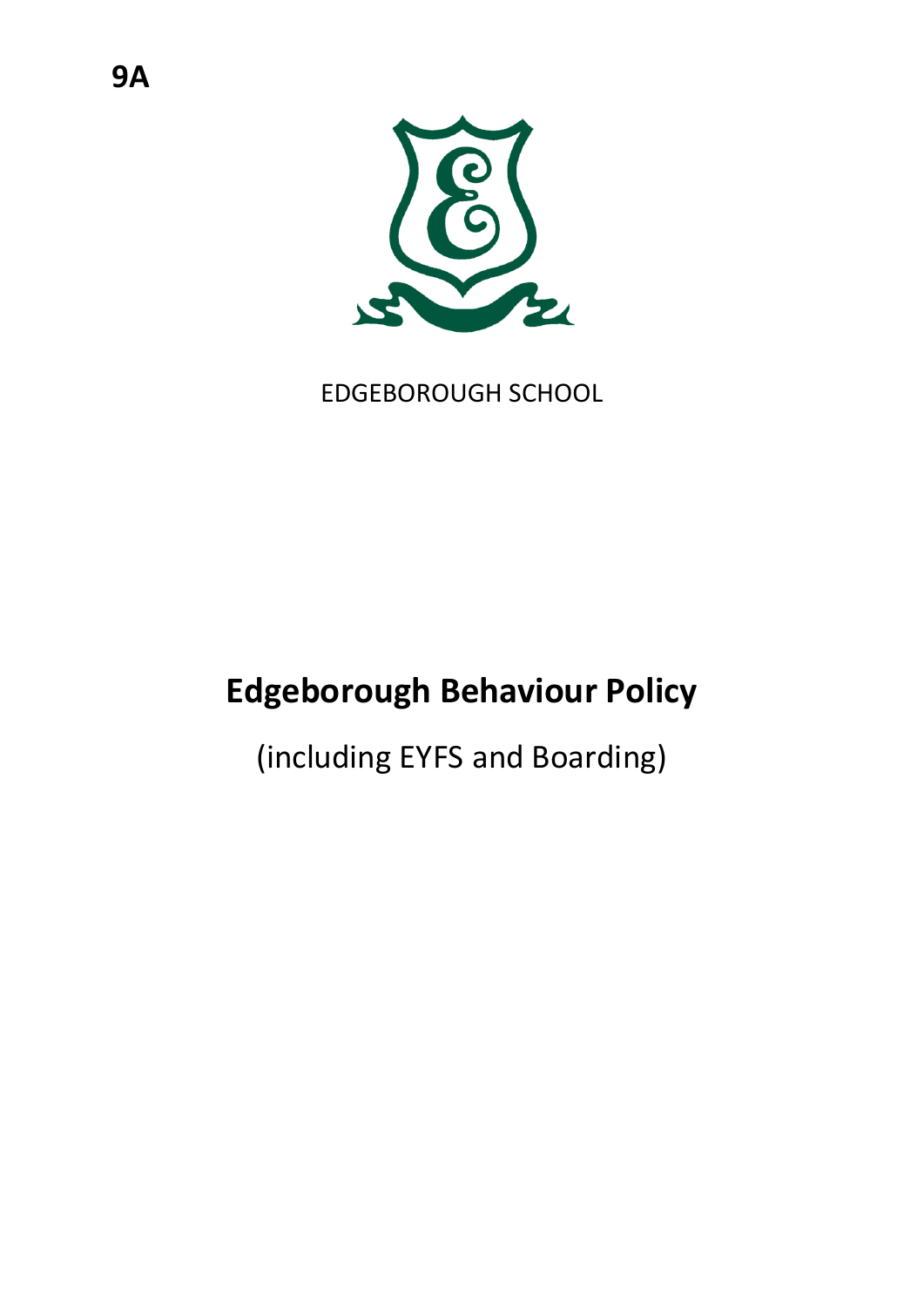

EDGEBOROUGH SCHOOL

# **Edgeborough Behaviour Policy**

(including EYFS and Boarding)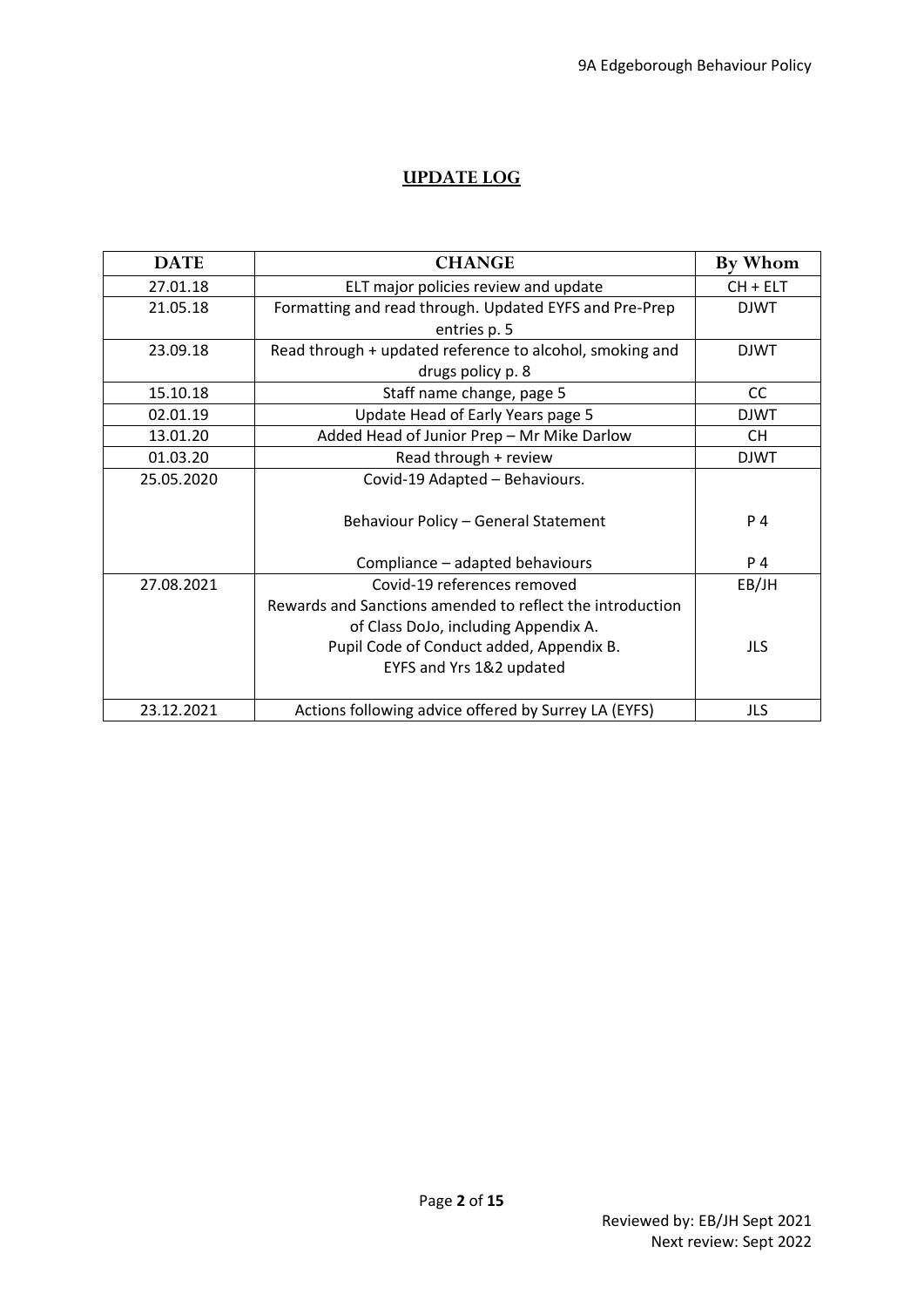## **UPDATE LOG**

| <b>DATE</b> | <b>CHANGE</b>                                             | By Whom     |
|-------------|-----------------------------------------------------------|-------------|
| 27.01.18    | ELT major policies review and update                      | $CH + ELT$  |
| 21.05.18    | Formatting and read through. Updated EYFS and Pre-Prep    |             |
|             | entries p. 5                                              |             |
| 23.09.18    | Read through + updated reference to alcohol, smoking and  | <b>DJWT</b> |
|             | drugs policy p. 8                                         |             |
| 15.10.18    | Staff name change, page 5                                 | CC          |
| 02.01.19    | Update Head of Early Years page 5                         | <b>DJWT</b> |
| 13.01.20    | Added Head of Junior Prep - Mr Mike Darlow                | CH.         |
| 01.03.20    | Read through + review                                     | <b>DJWT</b> |
| 25.05.2020  | Covid-19 Adapted - Behaviours.                            |             |
|             | Behaviour Policy - General Statement                      | P 4         |
|             | Compliance - adapted behaviours                           | P 4         |
| 27.08.2021  | Covid-19 references removed                               | EB/JH       |
|             | Rewards and Sanctions amended to reflect the introduction |             |
|             | of Class DoJo, including Appendix A.                      |             |
|             | Pupil Code of Conduct added, Appendix B.                  | JLS         |
|             | EYFS and Yrs 1&2 updated                                  |             |
|             |                                                           |             |
| 23.12.2021  | Actions following advice offered by Surrey LA (EYFS)      | JLS         |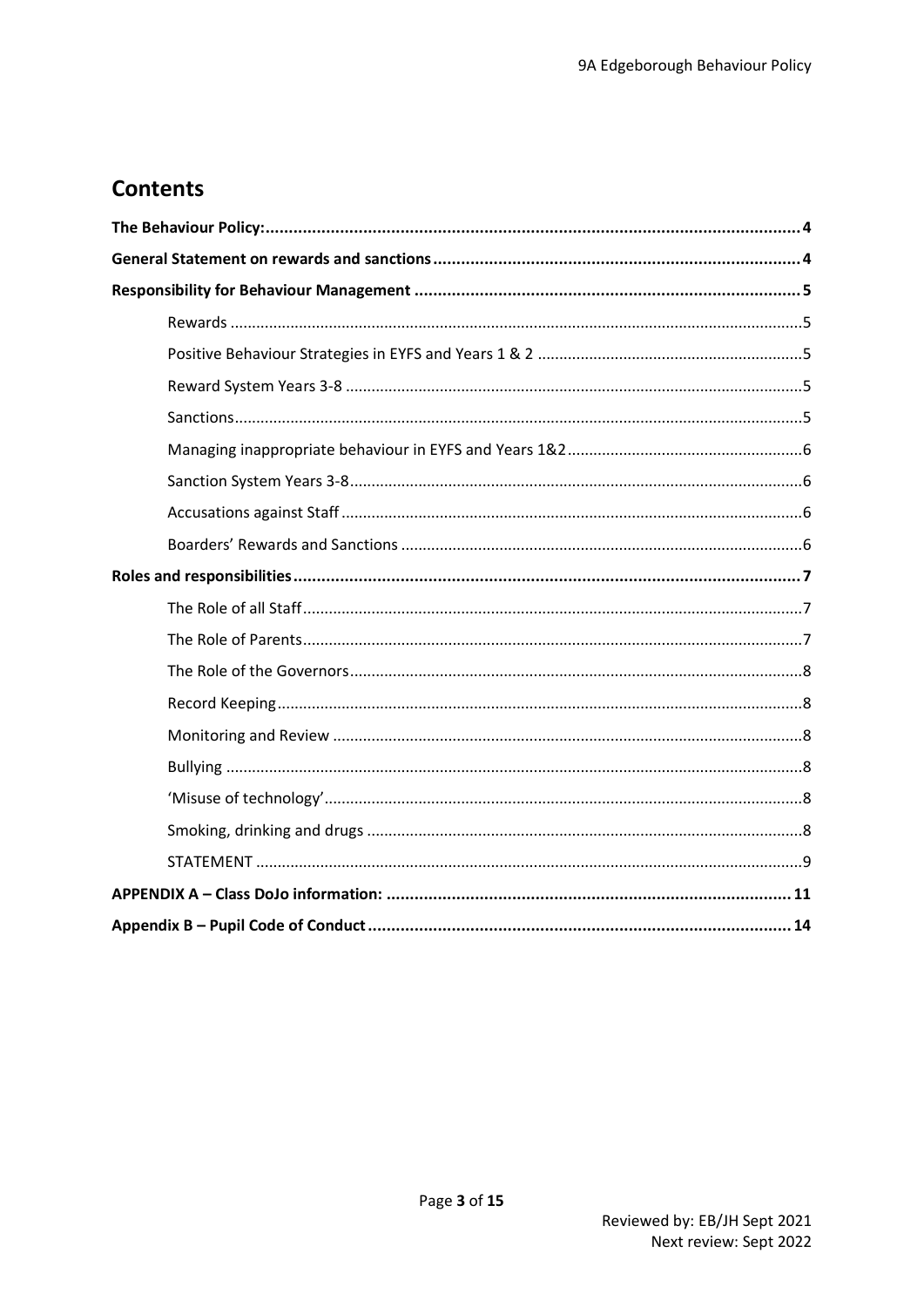# **Contents**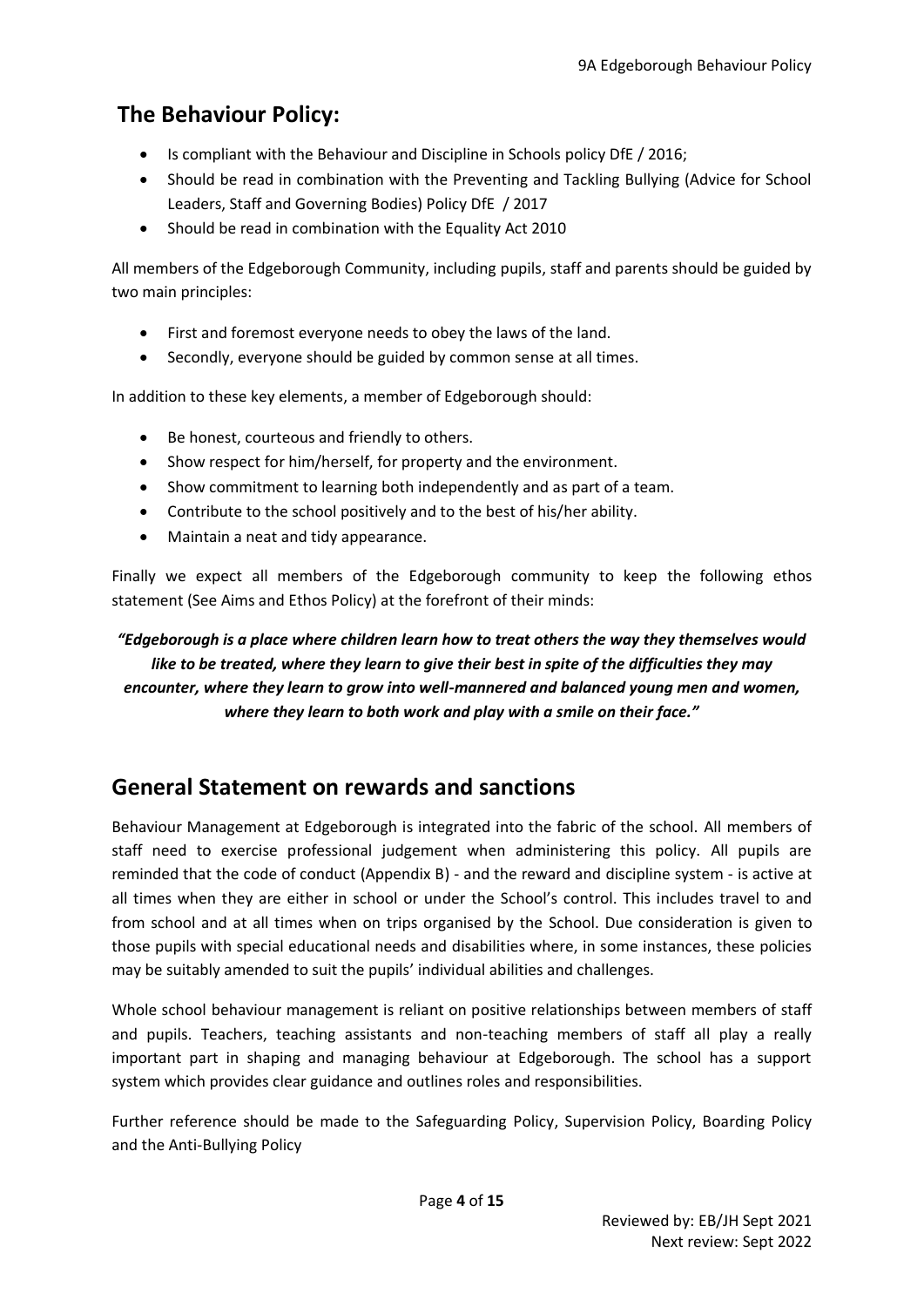# <span id="page-3-0"></span>**The Behaviour Policy:**

- Is compliant with the Behaviour and Discipline in Schools policy DfE / 2016;
- Should be read in combination with the Preventing and Tackling Bullying (Advice for School Leaders, Staff and Governing Bodies) Policy DfE / 2017
- Should be read in combination with the Equality Act 2010

All members of the Edgeborough Community, including pupils, staff and parents should be guided by two main principles:

- First and foremost everyone needs to obey the laws of the land.
- Secondly, everyone should be guided by common sense at all times.

In addition to these key elements, a member of Edgeborough should:

- Be honest, courteous and friendly to others.
- Show respect for him/herself, for property and the environment.
- Show commitment to learning both independently and as part of a team.
- Contribute to the school positively and to the best of his/her ability.
- Maintain a neat and tidy appearance.

Finally we expect all members of the Edgeborough community to keep the following ethos statement (See Aims and Ethos Policy) at the forefront of their minds:

## *"Edgeborough is a place where children learn how to treat others the way they themselves would like to be treated, where they learn to give their best in spite of the difficulties they may encounter, where they learn to grow into well-mannered and balanced young men and women, where they learn to both work and play with a smile on their face."*

## <span id="page-3-1"></span>**General Statement on rewards and sanctions**

Behaviour Management at Edgeborough is integrated into the fabric of the school. All members of staff need to exercise professional judgement when administering this policy. All pupils are reminded that the code of conduct (Appendix B) - and the reward and discipline system - is active at all times when they are either in school or under the School's control. This includes travel to and from school and at all times when on trips organised by the School. Due consideration is given to those pupils with special educational needs and disabilities where, in some instances, these policies may be suitably amended to suit the pupils' individual abilities and challenges.

Whole school behaviour management is reliant on positive relationships between members of staff and pupils. Teachers, teaching assistants and non-teaching members of staff all play a really important part in shaping and managing behaviour at Edgeborough. The school has a support system which provides clear guidance and outlines roles and responsibilities.

Further reference should be made to the Safeguarding Policy, Supervision Policy, Boarding Policy and the Anti-Bullying Policy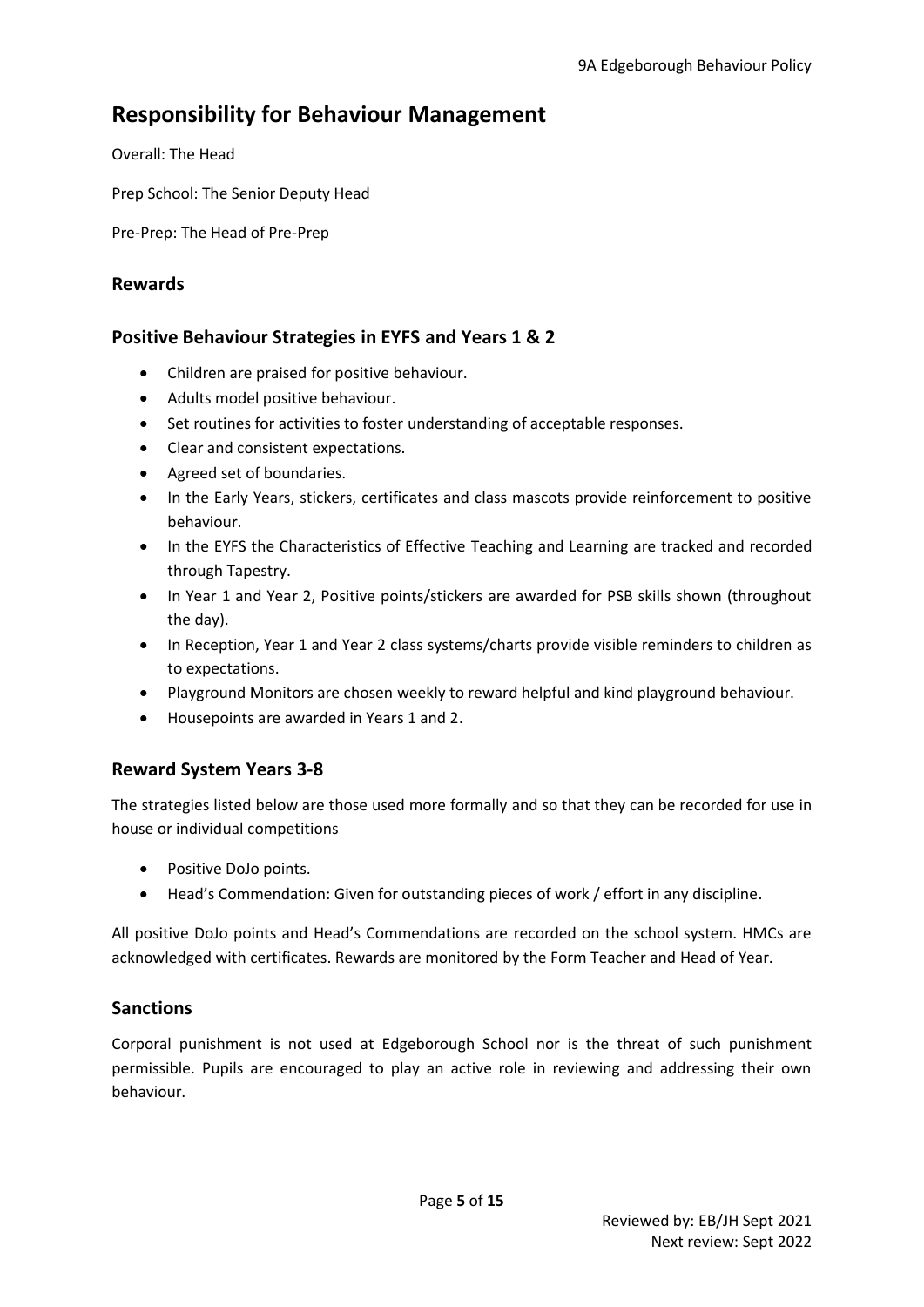## <span id="page-4-0"></span>**Responsibility for Behaviour Management**

Overall: The Head

Prep School: The Senior Deputy Head

Pre-Prep: The Head of Pre-Prep

#### <span id="page-4-1"></span>**Rewards**

## <span id="page-4-2"></span>**Positive Behaviour Strategies in EYFS and Years 1 & 2**

- Children are praised for positive behaviour.
- Adults model positive behaviour.
- Set routines for activities to foster understanding of acceptable responses.
- Clear and consistent expectations.
- Agreed set of boundaries.
- In the Early Years, stickers, certificates and class mascots provide reinforcement to positive behaviour.
- In the EYFS the Characteristics of Effective Teaching and Learning are tracked and recorded through Tapestry.
- In Year 1 and Year 2, Positive points/stickers are awarded for PSB skills shown (throughout the day).
- In Reception, Year 1 and Year 2 class systems/charts provide visible reminders to children as to expectations.
- Playground Monitors are chosen weekly to reward helpful and kind playground behaviour.
- Housepoints are awarded in Years 1 and 2.

#### <span id="page-4-3"></span>**Reward System Years 3-8**

The strategies listed below are those used more formally and so that they can be recorded for use in house or individual competitions

- Positive DoJo points.
- Head's Commendation: Given for outstanding pieces of work / effort in any discipline.

All positive DoJo points and Head's Commendations are recorded on the school system. HMCs are acknowledged with certificates. Rewards are monitored by the Form Teacher and Head of Year.

#### <span id="page-4-4"></span>**Sanctions**

Corporal punishment is not used at Edgeborough School nor is the threat of such punishment permissible. Pupils are encouraged to play an active role in reviewing and addressing their own behaviour.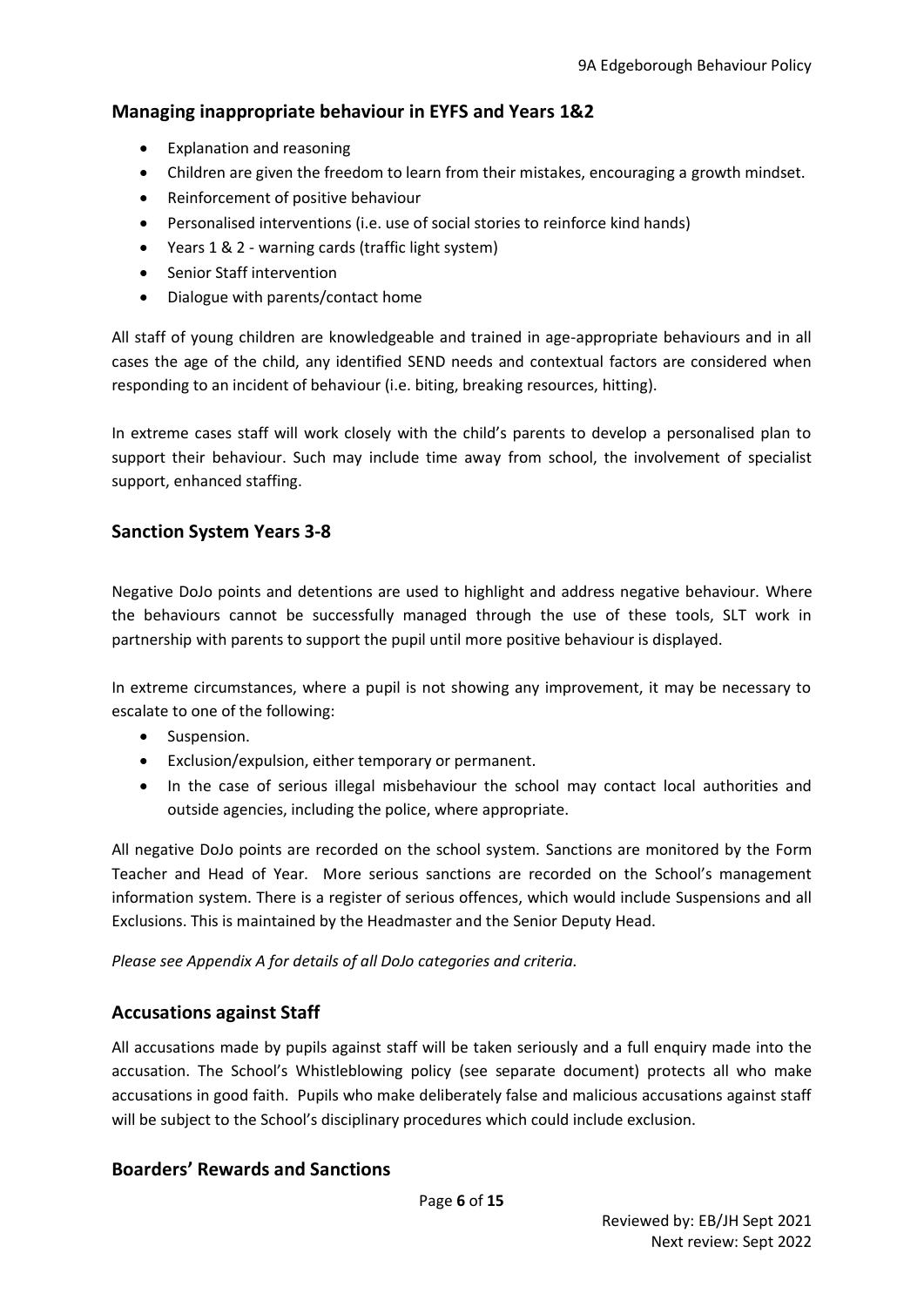### <span id="page-5-0"></span>**Managing inappropriate behaviour in EYFS and Years 1&2**

- Explanation and reasoning
- Children are given the freedom to learn from their mistakes, encouraging a growth mindset.
- Reinforcement of positive behaviour
- Personalised interventions (i.e. use of social stories to reinforce kind hands)
- Years 1 & 2 warning cards (traffic light system)
- Senior Staff intervention
- Dialogue with parents/contact home

All staff of young children are knowledgeable and trained in age-appropriate behaviours and in all cases the age of the child, any identified SEND needs and contextual factors are considered when responding to an incident of behaviour (i.e. biting, breaking resources, hitting).

In extreme cases staff will work closely with the child's parents to develop a personalised plan to support their behaviour. Such may include time away from school, the involvement of specialist support, enhanced staffing.

### <span id="page-5-1"></span>**Sanction System Years 3-8**

Negative DoJo points and detentions are used to highlight and address negative behaviour. Where the behaviours cannot be successfully managed through the use of these tools, SLT work in partnership with parents to support the pupil until more positive behaviour is displayed.

In extreme circumstances, where a pupil is not showing any improvement, it may be necessary to escalate to one of the following:

- Suspension.
- Exclusion/expulsion, either temporary or permanent.
- In the case of serious illegal misbehaviour the school may contact local authorities and outside agencies, including the police, where appropriate.

All negative DoJo points are recorded on the school system. Sanctions are monitored by the Form Teacher and Head of Year. More serious sanctions are recorded on the School's management information system. There is a register of serious offences, which would include Suspensions and all Exclusions. This is maintained by the Headmaster and the Senior Deputy Head.

*Please see Appendix A for details of all DoJo categories and criteria.* 

#### <span id="page-5-2"></span>**Accusations against Staff**

All accusations made by pupils against staff will be taken seriously and a full enquiry made into the accusation. The School's Whistleblowing policy (see separate document) protects all who make accusations in good faith. Pupils who make deliberately false and malicious accusations against staff will be subject to the School's disciplinary procedures which could include exclusion.

#### <span id="page-5-3"></span>**Boarders' Rewards and Sanctions**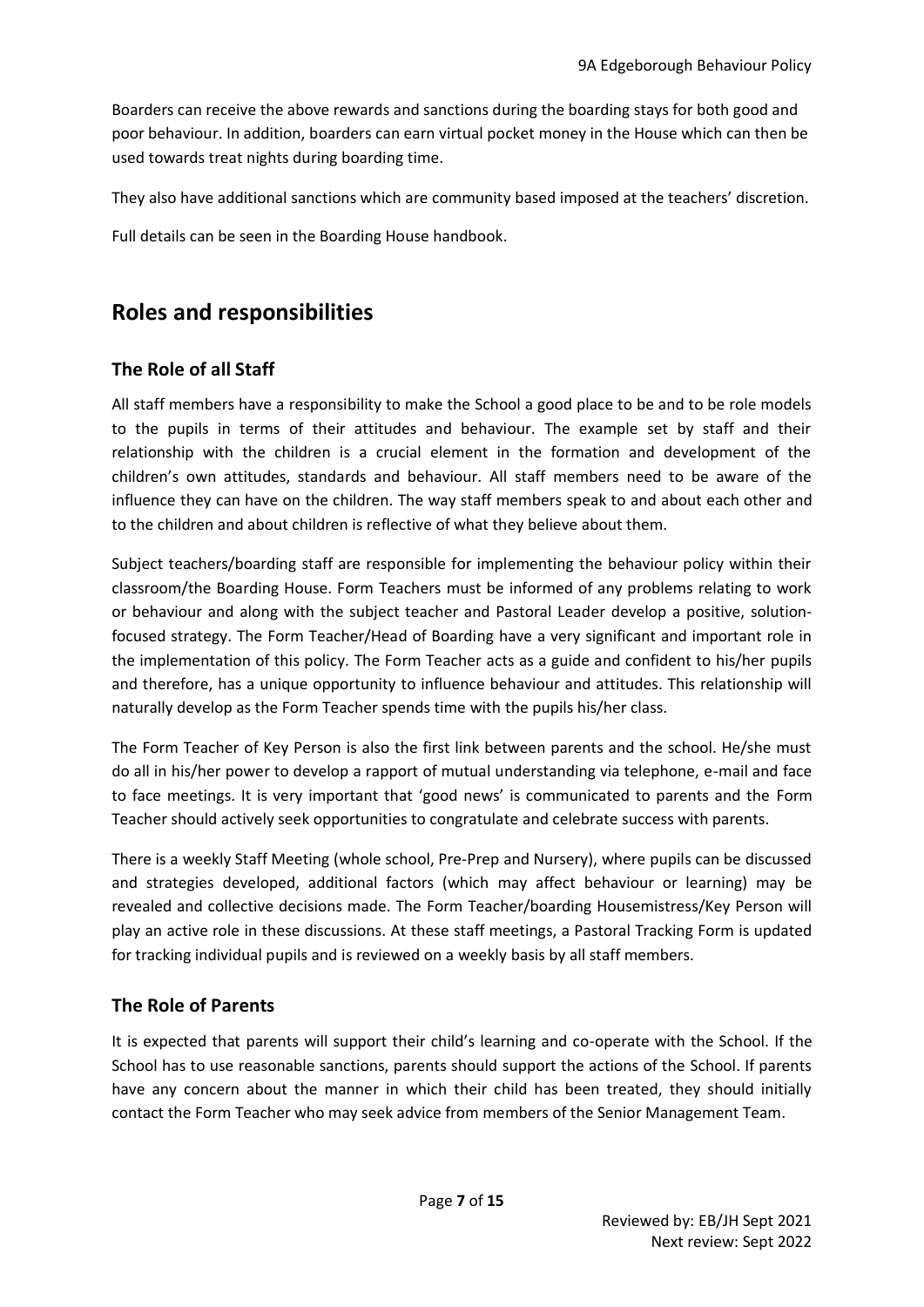Boarders can receive the above rewards and sanctions during the boarding stays for both good and poor behaviour. In addition, boarders can earn virtual pocket money in the House which can then be used towards treat nights during boarding time.

They also have additional sanctions which are community based imposed at the teachers' discretion.

Full details can be seen in the Boarding House handbook.

# <span id="page-6-0"></span>**Roles and responsibilities**

## <span id="page-6-1"></span>**The Role of all Staff**

All staff members have a responsibility to make the School a good place to be and to be role models to the pupils in terms of their attitudes and behaviour. The example set by staff and their relationship with the children is a crucial element in the formation and development of the children's own attitudes, standards and behaviour. All staff members need to be aware of the influence they can have on the children. The way staff members speak to and about each other and to the children and about children is reflective of what they believe about them.

Subject teachers/boarding staff are responsible for implementing the behaviour policy within their classroom/the Boarding House. Form Teachers must be informed of any problems relating to work or behaviour and along with the subject teacher and Pastoral Leader develop a positive, solutionfocused strategy. The Form Teacher/Head of Boarding have a very significant and important role in the implementation of this policy. The Form Teacher acts as a guide and confident to his/her pupils and therefore, has a unique opportunity to influence behaviour and attitudes. This relationship will naturally develop as the Form Teacher spends time with the pupils his/her class.

The Form Teacher of Key Person is also the first link between parents and the school. He/she must do all in his/her power to develop a rapport of mutual understanding via telephone, e-mail and face to face meetings. It is very important that 'good news' is communicated to parents and the Form Teacher should actively seek opportunities to congratulate and celebrate success with parents.

There is a weekly Staff Meeting (whole school, Pre-Prep and Nursery), where pupils can be discussed and strategies developed, additional factors (which may affect behaviour or learning) may be revealed and collective decisions made. The Form Teacher/boarding Housemistress/Key Person will play an active role in these discussions. At these staff meetings, a Pastoral Tracking Form is updated for tracking individual pupils and is reviewed on a weekly basis by all staff members.

## <span id="page-6-2"></span>**The Role of Parents**

It is expected that parents will support their child's learning and co-operate with the School. If the School has to use reasonable sanctions, parents should support the actions of the School. If parents have any concern about the manner in which their child has been treated, they should initially contact the Form Teacher who may seek advice from members of the Senior Management Team.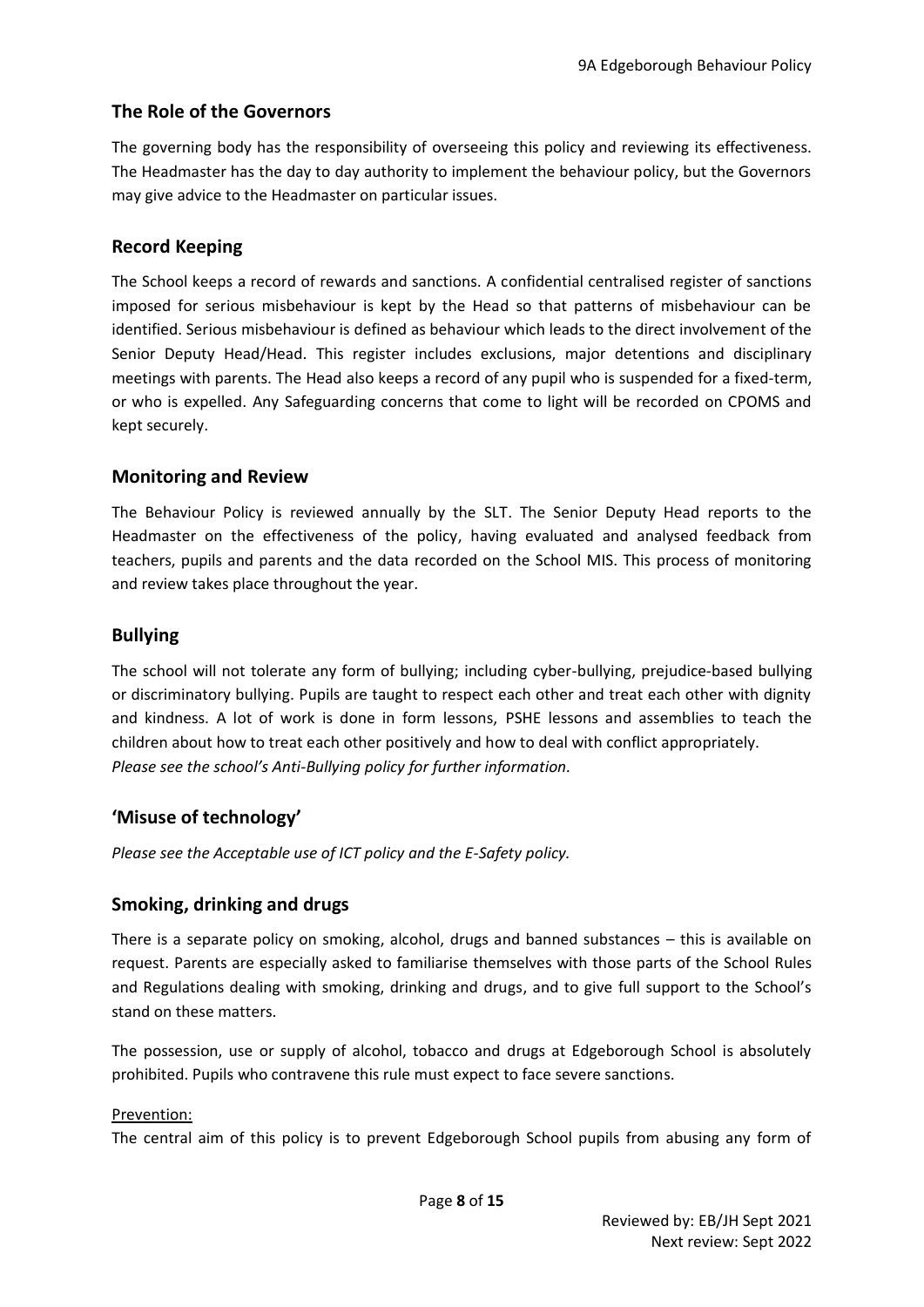## <span id="page-7-0"></span>**The Role of the Governors**

The governing body has the responsibility of overseeing this policy and reviewing its effectiveness. The Headmaster has the day to day authority to implement the behaviour policy, but the Governors may give advice to the Headmaster on particular issues.

### <span id="page-7-1"></span>**Record Keeping**

The School keeps a record of rewards and sanctions. A confidential centralised register of sanctions imposed for serious misbehaviour is kept by the Head so that patterns of misbehaviour can be identified. Serious misbehaviour is defined as behaviour which leads to the direct involvement of the Senior Deputy Head/Head. This register includes exclusions, major detentions and disciplinary meetings with parents. The Head also keeps a record of any pupil who is suspended for a fixed-term, or who is expelled. Any Safeguarding concerns that come to light will be recorded on CPOMS and kept securely.

### <span id="page-7-2"></span>**Monitoring and Review**

The Behaviour Policy is reviewed annually by the SLT. The Senior Deputy Head reports to the Headmaster on the effectiveness of the policy, having evaluated and analysed feedback from teachers, pupils and parents and the data recorded on the School MIS. This process of monitoring and review takes place throughout the year.

### <span id="page-7-3"></span>**Bullying**

The school will not tolerate any form of bullying; including cyber-bullying, prejudice-based bullying or discriminatory bullying. Pupils are taught to respect each other and treat each other with dignity and kindness. A lot of work is done in form lessons, PSHE lessons and assemblies to teach the children about how to treat each other positively and how to deal with conflict appropriately. *Please see the school's Anti-Bullying policy for further information.* 

#### <span id="page-7-4"></span>**'Misuse of technology'**

*Please see the Acceptable use of ICT policy and the E-Safety policy.* 

#### <span id="page-7-5"></span>**Smoking, drinking and drugs**

There is a separate policy on smoking, alcohol, drugs and banned substances – this is available on request. Parents are especially asked to familiarise themselves with those parts of the School Rules and Regulations dealing with smoking, drinking and drugs, and to give full support to the School's stand on these matters.

The possession, use or supply of alcohol, tobacco and drugs at Edgeborough School is absolutely prohibited. Pupils who contravene this rule must expect to face severe sanctions.

#### Prevention:

The central aim of this policy is to prevent Edgeborough School pupils from abusing any form of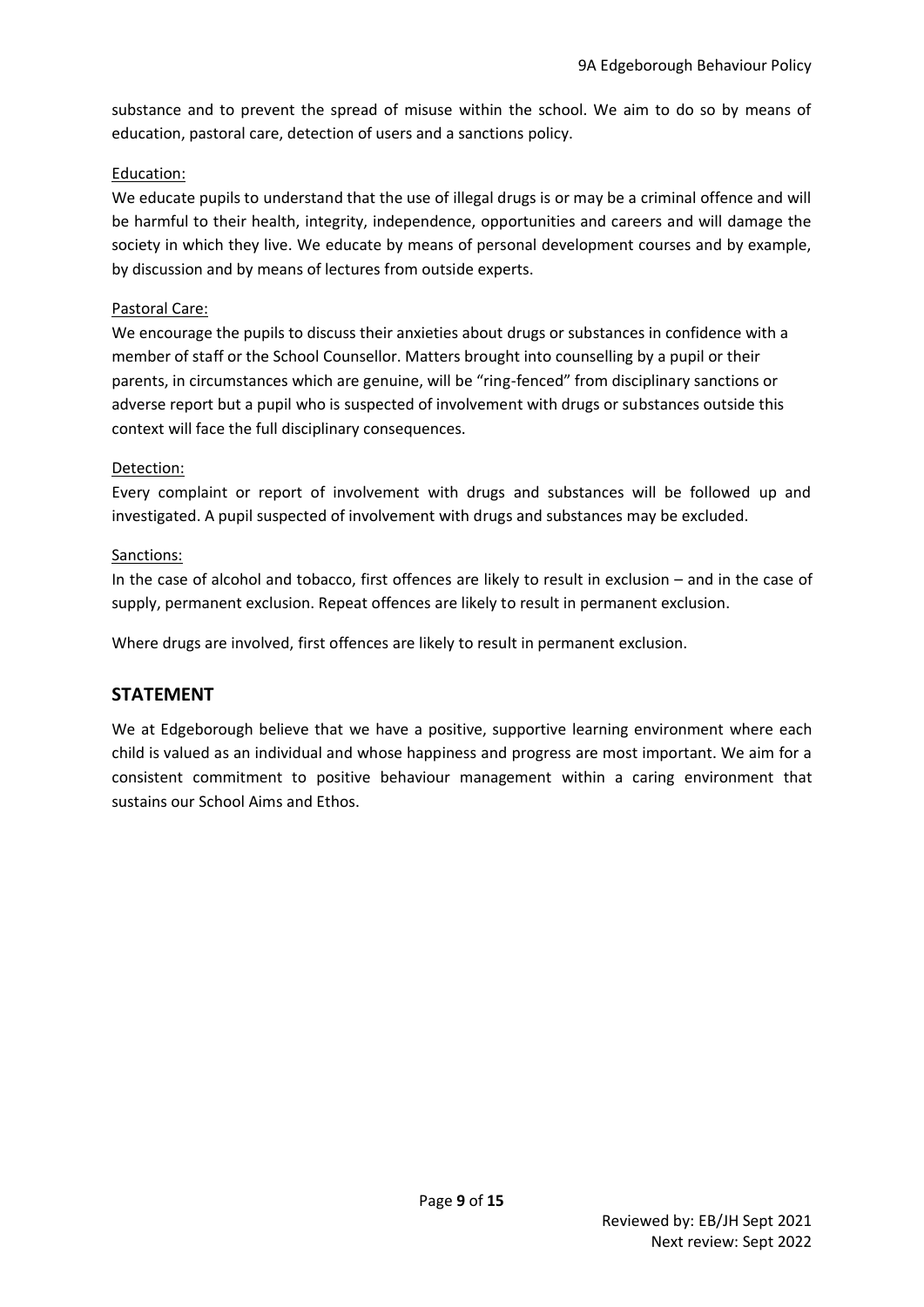substance and to prevent the spread of misuse within the school. We aim to do so by means of education, pastoral care, detection of users and a sanctions policy.

#### Education:

We educate pupils to understand that the use of illegal drugs is or may be a criminal offence and will be harmful to their health, integrity, independence, opportunities and careers and will damage the society in which they live. We educate by means of personal development courses and by example, by discussion and by means of lectures from outside experts.

#### Pastoral Care:

We encourage the pupils to discuss their anxieties about drugs or substances in confidence with a member of staff or the School Counsellor. Matters brought into counselling by a pupil or their parents, in circumstances which are genuine, will be "ring-fenced" from disciplinary sanctions or adverse report but a pupil who is suspected of involvement with drugs or substances outside this context will face the full disciplinary consequences.

#### Detection:

Every complaint or report of involvement with drugs and substances will be followed up and investigated. A pupil suspected of involvement with drugs and substances may be excluded.

#### Sanctions:

In the case of alcohol and tobacco, first offences are likely to result in exclusion – and in the case of supply, permanent exclusion. Repeat offences are likely to result in permanent exclusion.

Where drugs are involved, first offences are likely to result in permanent exclusion.

#### <span id="page-8-0"></span>**STATEMENT**

We at Edgeborough believe that we have a positive, supportive learning environment where each child is valued as an individual and whose happiness and progress are most important. We aim for a consistent commitment to positive behaviour management within a caring environment that sustains our School Aims and Ethos.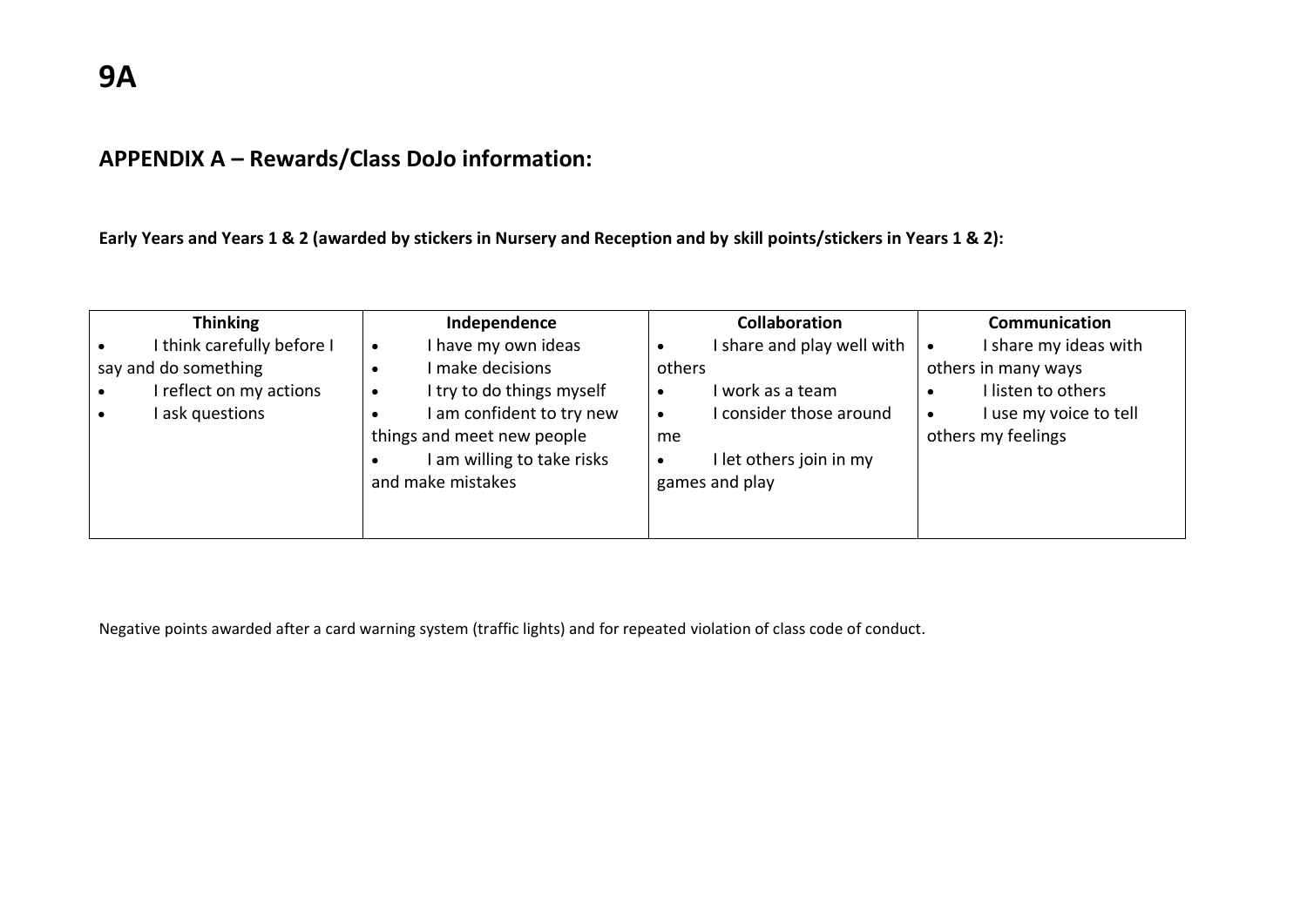# **APPENDIX A – Rewards/Class DoJo information:**

**Early Years and Years 1 & 2 (awarded by stickers in Nursery and Reception and by skill points/stickers in Years 1 & 2):**

| <b>Thinking</b>            | Independence                           | <b>Collaboration</b>       | Communication                       |
|----------------------------|----------------------------------------|----------------------------|-------------------------------------|
| I think carefully before I | I have my own ideas<br>$\bullet$       | I share and play well with | I share my ideas with<br>$\bullet$  |
| say and do something       | I make decisions                       | others                     | others in many ways                 |
| I reflect on my actions    | I try to do things myself<br>$\bullet$ | I work as a team           | I listen to others                  |
| I ask questions            | am confident to try new                | consider those around      | I use my voice to tell<br>$\bullet$ |
|                            | things and meet new people             | me                         | others my feelings                  |
|                            | am willing to take risks               | I let others join in my    |                                     |
|                            | and make mistakes                      | games and play             |                                     |
|                            |                                        |                            |                                     |
|                            |                                        |                            |                                     |

<span id="page-10-0"></span>Negative points awarded after a card warning system (traffic lights) and for repeated violation of class code of conduct.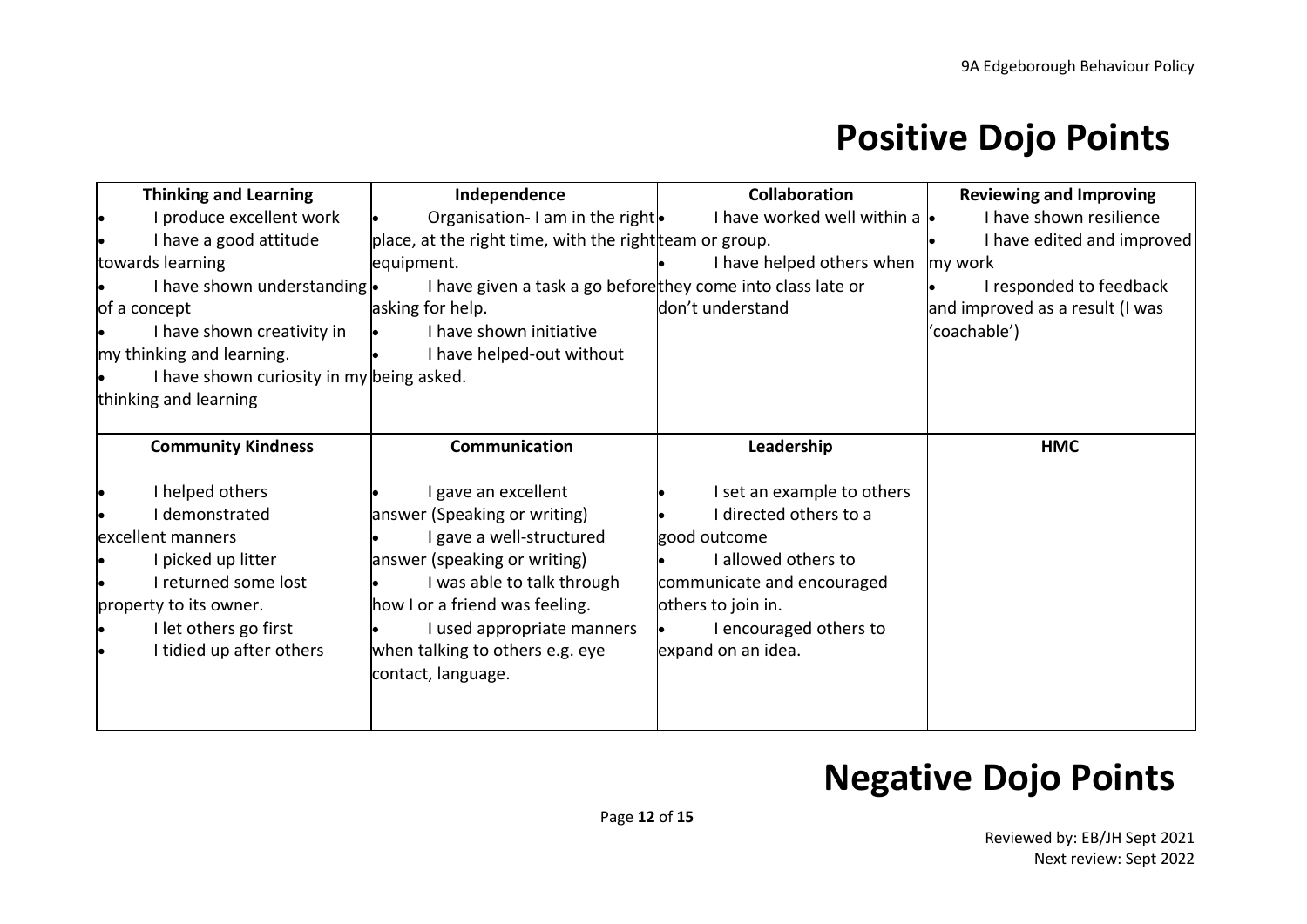# **Positive Dojo Points**

| <b>Thinking and Learning</b>              | Independence                                                | <b>Collaboration</b>                | <b>Reviewing and Improving</b>  |
|-------------------------------------------|-------------------------------------------------------------|-------------------------------------|---------------------------------|
| produce excellent work                    | Organisation-I am in the right.                             | I have worked well within a $\cdot$ | I have shown resilience         |
| I have a good attitude                    | place, at the right time, with the right team or group.     |                                     | I have edited and improved      |
| towards learning                          | equipment.                                                  | I have helped others when           | my work                         |
| I have shown understanding .              | I have given a task a go beforethey come into class late or |                                     | I responded to feedback         |
| of a concept                              | asking for help.                                            | don't understand                    | and improved as a result (I was |
| I have shown creativity in                | I have shown initiative                                     |                                     | 'coachable')                    |
| my thinking and learning.                 | I have helped-out without                                   |                                     |                                 |
| I have shown curiosity in my being asked. |                                                             |                                     |                                 |
| thinking and learning                     |                                                             |                                     |                                 |
|                                           |                                                             |                                     |                                 |
| <b>Community Kindness</b>                 | Communication                                               | Leadership                          | <b>HMC</b>                      |
| I helped others                           | I gave an excellent                                         | I set an example to others          |                                 |
| I demonstrated                            | answer (Speaking or writing)                                | I directed others to a              |                                 |
| excellent manners                         | I gave a well-structured                                    | good outcome                        |                                 |
| picked up litter                          | answer (speaking or writing)                                | I allowed others to                 |                                 |
| returned some lost                        | I was able to talk through                                  | communicate and encouraged          |                                 |
| property to its owner.                    | how I or a friend was feeling.                              | others to join in.                  |                                 |
| I let others go first                     | I used appropriate manners                                  | I encouraged others to              |                                 |
| I tidied up after others                  | when talking to others e.g. eye                             | expand on an idea.                  |                                 |
|                                           | contact, language.                                          |                                     |                                 |
|                                           |                                                             |                                     |                                 |
|                                           |                                                             |                                     |                                 |

# **Negative Dojo Points**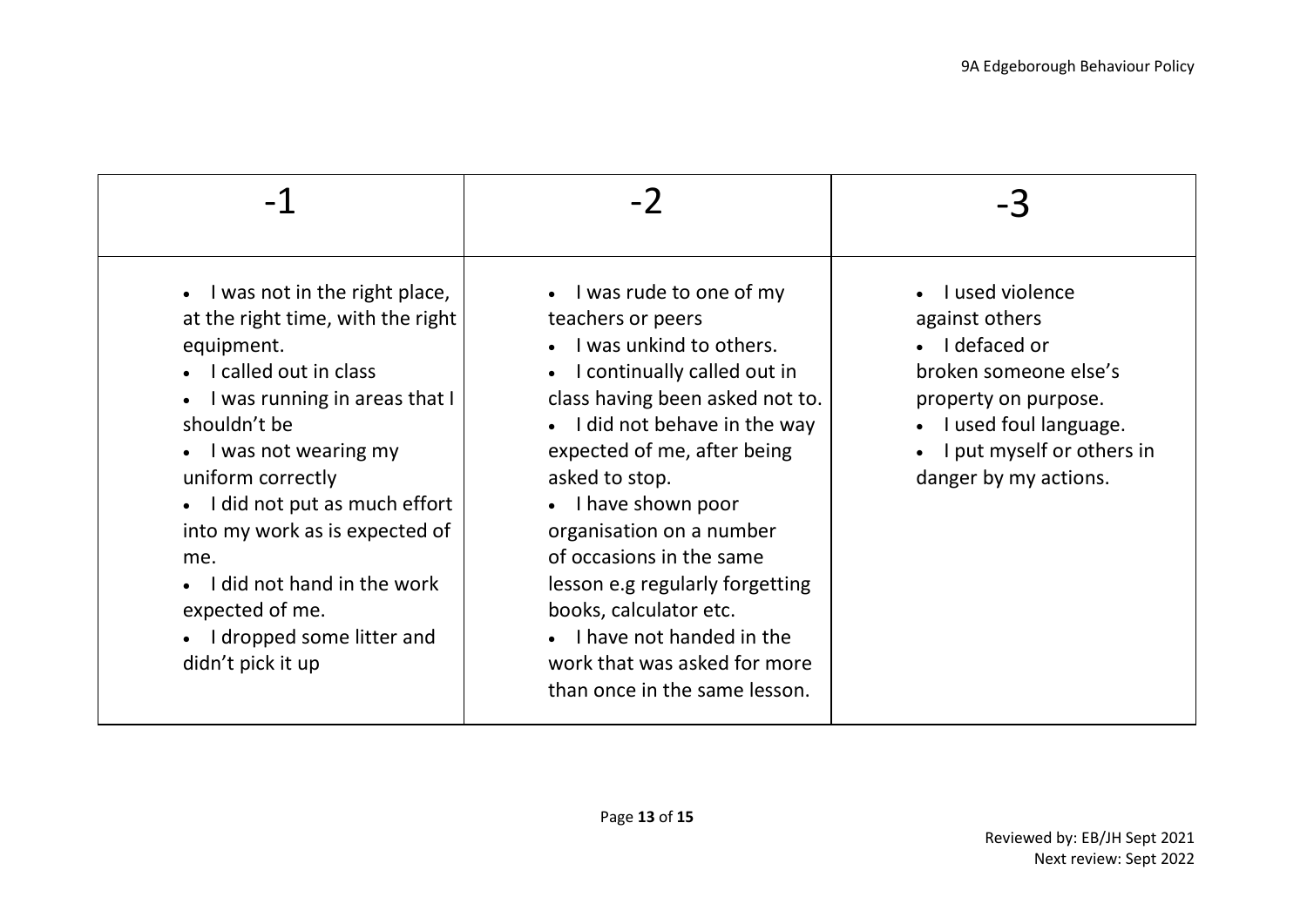| • I was not in the right place,<br>at the right time, with the right<br>equipment.<br>• I called out in class<br>I was running in areas that I<br>shouldn't be<br>• I was not wearing my<br>uniform correctly<br>• I did not put as much effort<br>into my work as is expected of<br>me.<br>I did not hand in the work<br>expected of me.<br>• I dropped some litter and<br>didn't pick it up | $\bullet$ I was rude to one of my<br>teachers or peers<br>I was unkind to others.<br>• I continually called out in<br>class having been asked not to.<br>• I did not behave in the way<br>expected of me, after being<br>asked to stop.<br>• I have shown poor<br>organisation on a number<br>of occasions in the same<br>lesson e.g regularly forgetting<br>books, calculator etc.<br>• I have not handed in the<br>work that was asked for more<br>than once in the same lesson. | I used violence<br>against others<br>• I defaced or<br>broken someone else's<br>property on purpose.<br>I used foul language.<br>I put myself or others in<br>danger by my actions. |
|-----------------------------------------------------------------------------------------------------------------------------------------------------------------------------------------------------------------------------------------------------------------------------------------------------------------------------------------------------------------------------------------------|------------------------------------------------------------------------------------------------------------------------------------------------------------------------------------------------------------------------------------------------------------------------------------------------------------------------------------------------------------------------------------------------------------------------------------------------------------------------------------|-------------------------------------------------------------------------------------------------------------------------------------------------------------------------------------|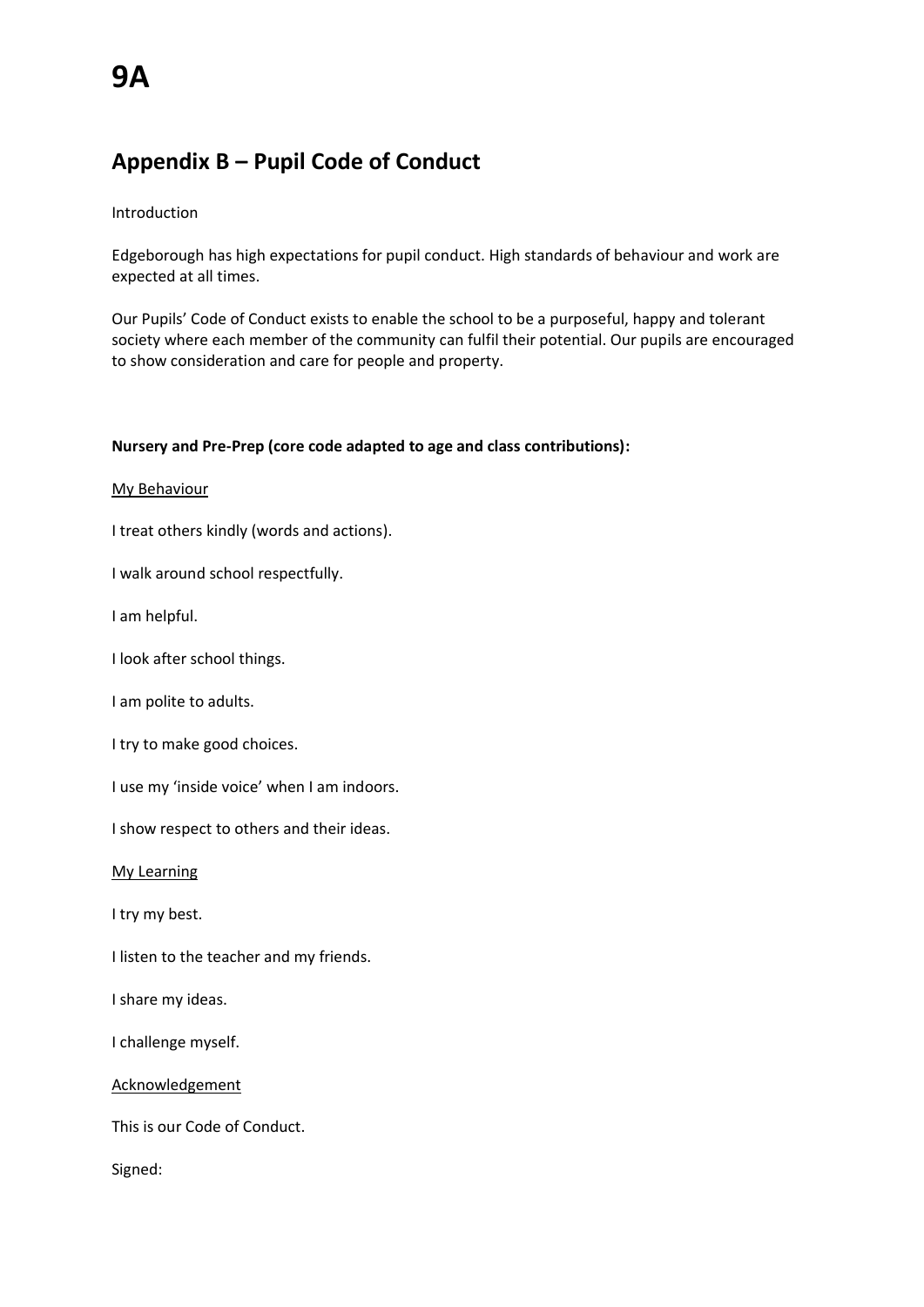## <span id="page-13-0"></span>**Appendix B – Pupil Code of Conduct**

#### Introduction

Edgeborough has high expectations for pupil conduct. High standards of behaviour and work are expected at all times.

Our Pupils' Code of Conduct exists to enable the school to be a purposeful, happy and tolerant society where each member of the community can fulfil their potential. Our pupils are encouraged to show consideration and care for people and property.

#### **Nursery and Pre-Prep (core code adapted to age and class contributions):**

#### My Behaviour

I treat others kindly (words and actions).

I walk around school respectfully.

I am helpful.

I look after school things.

I am polite to adults.

I try to make good choices.

I use my 'inside voice' when I am indoors.

I show respect to others and their ideas.

My Learning

I try my best.

I listen to the teacher and my friends.

I share my ideas.

I challenge myself.

Acknowledgement

This is our Code of Conduct.

Signed: